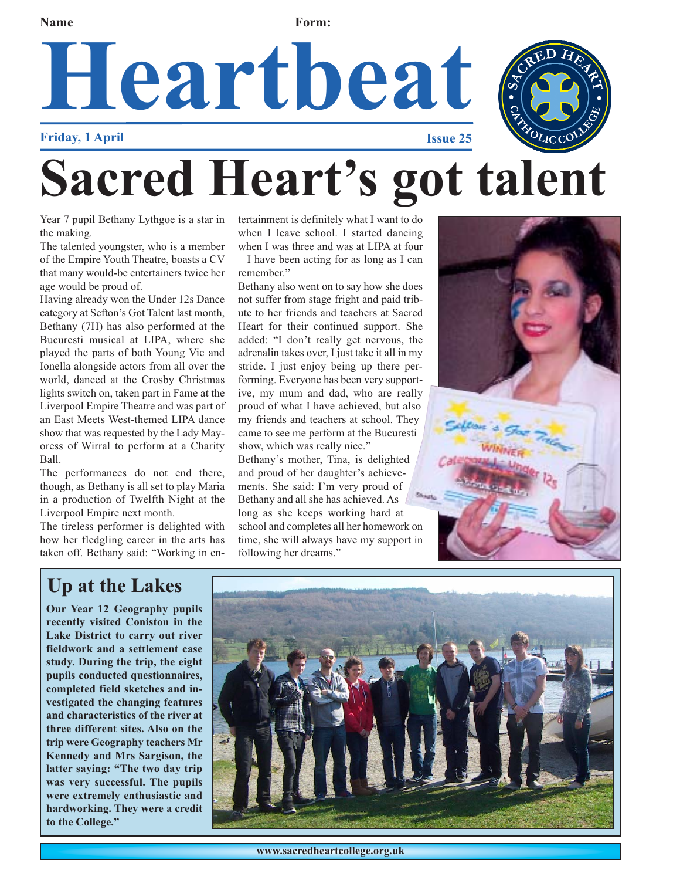**Name Form:** 

## **Heartbeat Friday, 1 April Issue 25 Sacred Heart's got talent**

Year 7 pupil Bethany Lythgoe is a star in the making.

The talented youngster, who is a member of the Empire Youth Theatre, boasts a CV that many would-be entertainers twice her age would be proud of.

Having already won the Under 12s Dance category at Sefton's Got Talent last month, Bethany (7H) has also performed at the Bucuresti musical at LIPA, where she played the parts of both Young Vic and Ionella alongside actors from all over the world, danced at the Crosby Christmas lights switch on, taken part in Fame at the Liverpool Empire Theatre and was part of an East Meets West-themed LIPA dance show that was requested by the Lady Mayoress of Wirral to perform at a Charity Ball.

The performances do not end there, though, as Bethany is all set to play Maria in a production of Twelfth Night at the Liverpool Empire next month.

The tireless performer is delighted with how her fledgling career in the arts has taken off. Bethany said: "Working in entertainment is definitely what I want to do when I leave school. I started dancing when I was three and was at LIPA at four – I have been acting for as long as I can remember."

Bethany also went on to say how she does not suffer from stage fright and paid tribute to her friends and teachers at Sacred Heart for their continued support. She added: "I don't really get nervous, the adrenalin takes over, I just take it all in my stride. I just enjoy being up there performing. Everyone has been very supportive, my mum and dad, who are really proud of what I have achieved, but also my friends and teachers at school. They came to see me perform at the Bucuresti show, which was really nice." Bethany's mother, Tina, is delighted and proud of her daughter's achieve-

ments. She said: I'm very proud of Bethany and all she has achieved. As long as she keeps working hard at school and completes all her homework on time, she will always have my support in following her dreams."



#### **Up at the Lakes**

**Our Year 12 Geography pupils recently visited Coniston in the Lake District to carry out river fieldwork and a settlement case study. During the trip, the eight pupils conducted questionnaires, completed field sketches and investigated the changing features and characteristics of the river at three different sites. Also on the trip were Geography teachers Mr Kennedy and Mrs Sargison, the latter saying: "The two day trip was very successful. The pupils were extremely enthusiastic and hardworking. They were a credit to the College."**